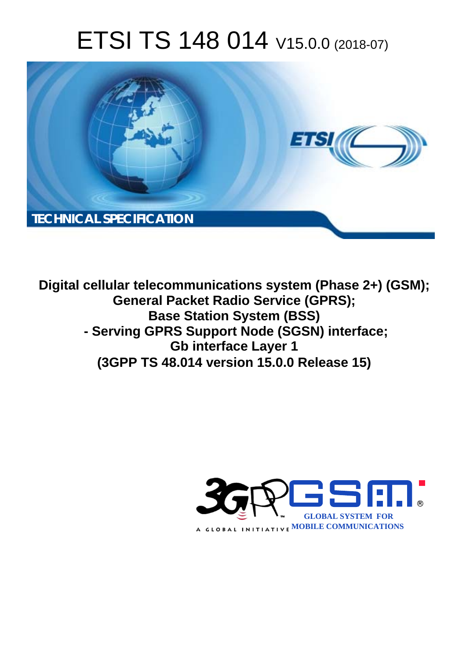# ETSI TS 148 014 V15.0.0 (2018-07)



**Digital cellular telecommunications system (Phase 2+) (GSM); General Packet Radio Service (GPRS); Base Station System (BSS) - Serving GPRS Support Node (SGSN) interface; Gb interface Layer 1 (3GPP TS 48.014 version 15.0.0 Release 15)** 

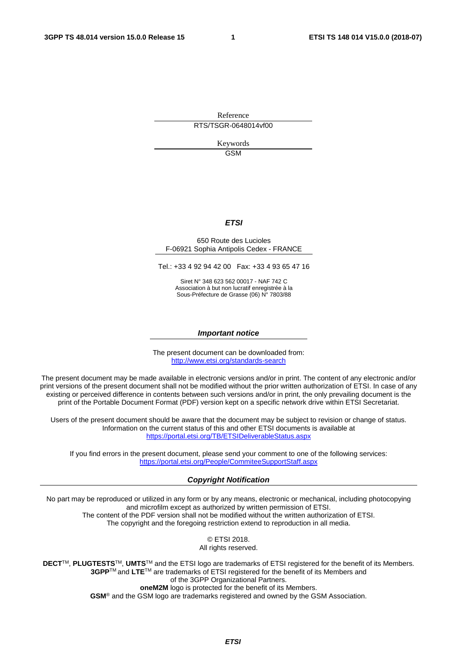Reference RTS/TSGR-0648014vf00

> Keywords GSM

#### *ETSI*

#### 650 Route des Lucioles F-06921 Sophia Antipolis Cedex - FRANCE

Tel.: +33 4 92 94 42 00 Fax: +33 4 93 65 47 16

Siret N° 348 623 562 00017 - NAF 742 C Association à but non lucratif enregistrée à la Sous-Préfecture de Grasse (06) N° 7803/88

#### *Important notice*

The present document can be downloaded from: <http://www.etsi.org/standards-search>

The present document may be made available in electronic versions and/or in print. The content of any electronic and/or print versions of the present document shall not be modified without the prior written authorization of ETSI. In case of any existing or perceived difference in contents between such versions and/or in print, the only prevailing document is the print of the Portable Document Format (PDF) version kept on a specific network drive within ETSI Secretariat.

Users of the present document should be aware that the document may be subject to revision or change of status. Information on the current status of this and other ETSI documents is available at <https://portal.etsi.org/TB/ETSIDeliverableStatus.aspx>

If you find errors in the present document, please send your comment to one of the following services: <https://portal.etsi.org/People/CommiteeSupportStaff.aspx>

#### *Copyright Notification*

No part may be reproduced or utilized in any form or by any means, electronic or mechanical, including photocopying and microfilm except as authorized by written permission of ETSI. The content of the PDF version shall not be modified without the written authorization of ETSI. The copyright and the foregoing restriction extend to reproduction in all media.

> © ETSI 2018. All rights reserved.

**DECT**TM, **PLUGTESTS**TM, **UMTS**TM and the ETSI logo are trademarks of ETSI registered for the benefit of its Members. **3GPP**TM and **LTE**TM are trademarks of ETSI registered for the benefit of its Members and of the 3GPP Organizational Partners. **oneM2M** logo is protected for the benefit of its Members.

**GSM**® and the GSM logo are trademarks registered and owned by the GSM Association.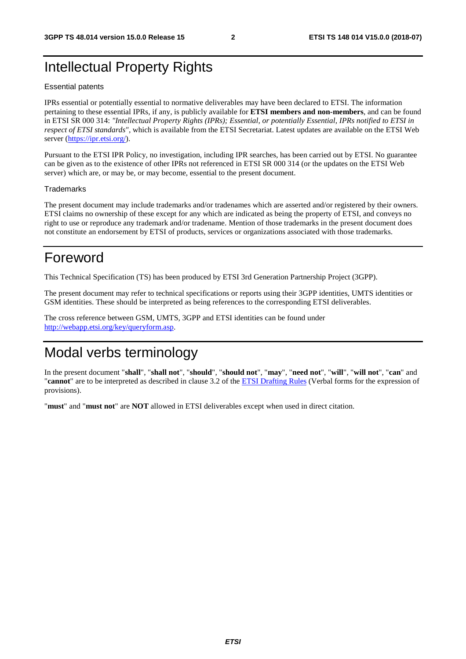### Intellectual Property Rights

#### Essential patents

IPRs essential or potentially essential to normative deliverables may have been declared to ETSI. The information pertaining to these essential IPRs, if any, is publicly available for **ETSI members and non-members**, and can be found in ETSI SR 000 314: *"Intellectual Property Rights (IPRs); Essential, or potentially Essential, IPRs notified to ETSI in respect of ETSI standards"*, which is available from the ETSI Secretariat. Latest updates are available on the ETSI Web server ([https://ipr.etsi.org/\)](https://ipr.etsi.org/).

Pursuant to the ETSI IPR Policy, no investigation, including IPR searches, has been carried out by ETSI. No guarantee can be given as to the existence of other IPRs not referenced in ETSI SR 000 314 (or the updates on the ETSI Web server) which are, or may be, or may become, essential to the present document.

#### **Trademarks**

The present document may include trademarks and/or tradenames which are asserted and/or registered by their owners. ETSI claims no ownership of these except for any which are indicated as being the property of ETSI, and conveys no right to use or reproduce any trademark and/or tradename. Mention of those trademarks in the present document does not constitute an endorsement by ETSI of products, services or organizations associated with those trademarks.

### Foreword

This Technical Specification (TS) has been produced by ETSI 3rd Generation Partnership Project (3GPP).

The present document may refer to technical specifications or reports using their 3GPP identities, UMTS identities or GSM identities. These should be interpreted as being references to the corresponding ETSI deliverables.

The cross reference between GSM, UMTS, 3GPP and ETSI identities can be found under [http://webapp.etsi.org/key/queryform.asp.](http://webapp.etsi.org/key/queryform.asp)

### Modal verbs terminology

In the present document "**shall**", "**shall not**", "**should**", "**should not**", "**may**", "**need not**", "**will**", "**will not**", "**can**" and "**cannot**" are to be interpreted as described in clause 3.2 of the [ETSI Drafting Rules](https://portal.etsi.org/Services/editHelp!/Howtostart/ETSIDraftingRules.aspx) (Verbal forms for the expression of provisions).

"**must**" and "**must not**" are **NOT** allowed in ETSI deliverables except when used in direct citation.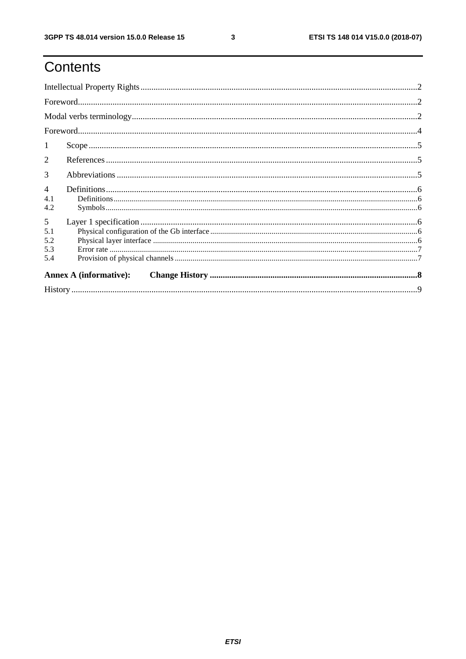# Contents

| -1                            |  |  |  |  |  |  |  |
|-------------------------------|--|--|--|--|--|--|--|
| 2                             |  |  |  |  |  |  |  |
| 3                             |  |  |  |  |  |  |  |
| $\overline{4}$<br>4.1<br>4.2  |  |  |  |  |  |  |  |
| 5<br>5.1<br>5.2<br>5.3<br>5.4 |  |  |  |  |  |  |  |
| <b>Annex A (informative):</b> |  |  |  |  |  |  |  |
|                               |  |  |  |  |  |  |  |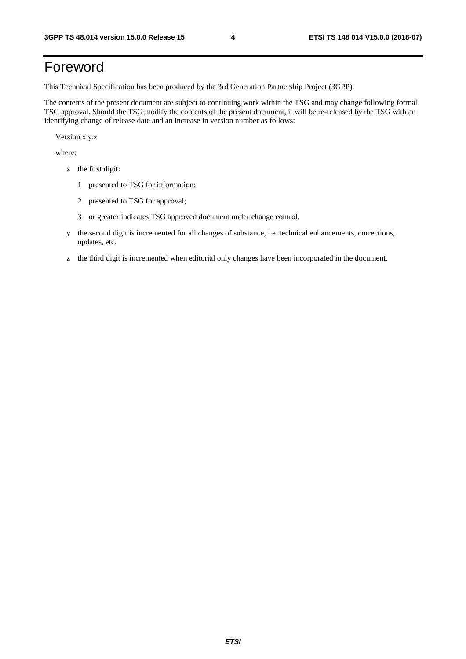## Foreword

This Technical Specification has been produced by the 3rd Generation Partnership Project (3GPP).

The contents of the present document are subject to continuing work within the TSG and may change following formal TSG approval. Should the TSG modify the contents of the present document, it will be re-released by the TSG with an identifying change of release date and an increase in version number as follows:

Version x.y.z

where:

- x the first digit:
	- 1 presented to TSG for information;
	- 2 presented to TSG for approval;
	- 3 or greater indicates TSG approved document under change control.
- y the second digit is incremented for all changes of substance, i.e. technical enhancements, corrections, updates, etc.
- z the third digit is incremented when editorial only changes have been incorporated in the document.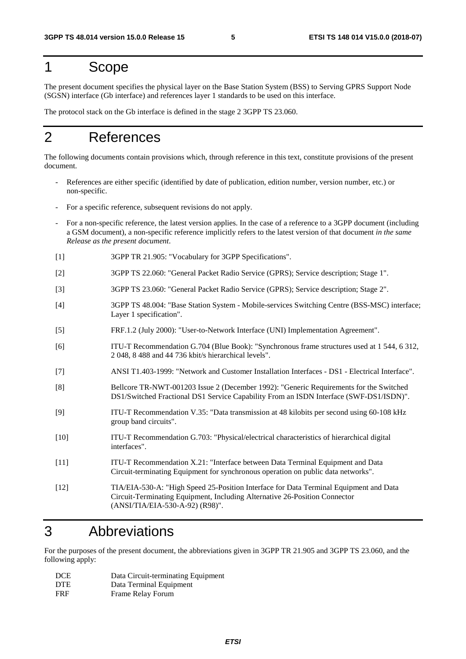#### 1 Scope

The present document specifies the physical layer on the Base Station System (BSS) to Serving GPRS Support Node (SGSN) interface (Gb interface) and references layer 1 standards to be used on this interface.

The protocol stack on the Gb interface is defined in the stage 2 3GPP TS 23.060.

### 2 References

The following documents contain provisions which, through reference in this text, constitute provisions of the present document.

- References are either specific (identified by date of publication, edition number, version number, etc.) or non-specific.
- For a specific reference, subsequent revisions do not apply.
- For a non-specific reference, the latest version applies. In the case of a reference to a 3GPP document (including a GSM document), a non-specific reference implicitly refers to the latest version of that document *in the same Release as the present document*.
- [1] 3GPP TR 21.905: "Vocabulary for 3GPP Specifications".
- [2] 3GPP TS 22.060: "General Packet Radio Service (GPRS); Service description; Stage 1".
- [3] 3GPP TS 23.060: "General Packet Radio Service (GPRS); Service description; Stage 2".
- [4] 3GPP TS 48.004: "Base Station System Mobile-services Switching Centre (BSS-MSC) interface; Layer 1 specification".
- [5] FRF.1.2 (July 2000): "User-to-Network Interface (UNI) Implementation Agreement".
- [6] ITU-T Recommendation G.704 (Blue Book): "Synchronous frame structures used at 1 544, 6 312, 2 048, 8 488 and 44 736 kbit/s hierarchical levels".
- [7] ANSI T1.403-1999: "Network and Customer Installation Interfaces DS1 Electrical Interface".
- [8] Bellcore TR-NWT-001203 Issue 2 (December 1992): "Generic Requirements for the Switched DS1/Switched Fractional DS1 Service Capability From an ISDN Interface (SWF-DS1/ISDN)".
- [9] ITU-T Recommendation V.35: "Data transmission at 48 kilobits per second using 60-108 kHz group band circuits".
- [10] ITU-T Recommendation G.703: "Physical/electrical characteristics of hierarchical digital interfaces".
- [11] ITU-T Recommendation X.21: "Interface between Data Terminal Equipment and Data Circuit-terminating Equipment for synchronous operation on public data networks".
- [12] TIA/EIA-530-A: "High Speed 25-Position Interface for Data Terminal Equipment and Data Circuit-Terminating Equipment, Including Alternative 26-Position Connector (ANSI/TIA/EIA-530-A-92) (R98)".

#### 3 Abbreviations

For the purposes of the present document, the abbreviations given in 3GPP TR 21.905 and 3GPP TS 23.060, and the following apply:

| DCE        | Data Circuit-terminating Equipment |
|------------|------------------------------------|
| <b>DTE</b> | Data Terminal Equipment            |
| <b>FRF</b> | Frame Relay Forum                  |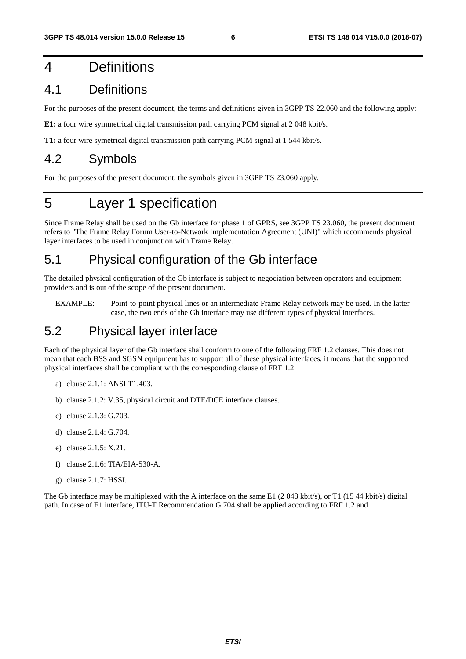### 4 Definitions

#### 4.1 Definitions

For the purposes of the present document, the terms and definitions given in 3GPP TS 22.060 and the following apply:

**E1:** a four wire symmetrical digital transmission path carrying PCM signal at 2 048 kbit/s.

**T1:** a four wire symetrical digital transmission path carrying PCM signal at 1 544 kbit/s.

#### 4.2 Symbols

For the purposes of the present document, the symbols given in 3GPP TS 23.060 apply.

# 5 Layer 1 specification

Since Frame Relay shall be used on the Gb interface for phase 1 of GPRS, see 3GPP TS 23.060, the present document refers to "The Frame Relay Forum User-to-Network Implementation Agreement (UNI)" which recommends physical layer interfaces to be used in conjunction with Frame Relay.

### 5.1 Physical configuration of the Gb interface

The detailed physical configuration of the Gb interface is subject to negociation between operators and equipment providers and is out of the scope of the present document.

EXAMPLE: Point-to-point physical lines or an intermediate Frame Relay network may be used. In the latter case, the two ends of the Gb interface may use different types of physical interfaces.

#### 5.2 Physical layer interface

Each of the physical layer of the Gb interface shall conform to one of the following FRF 1.2 clauses. This does not mean that each BSS and SGSN equipment has to support all of these physical interfaces, it means that the supported physical interfaces shall be compliant with the corresponding clause of FRF 1.2.

- a) clause 2.1.1: ANSI T1.403.
- b) clause 2.1.2: V.35, physical circuit and DTE/DCE interface clauses.
- c) clause 2.1.3: G.703.
- d) clause 2.1.4: G.704.
- e) clause 2.1.5: X.21.
- f) clause 2.1.6: TIA/EIA-530-A.
- g) clause 2.1.7: HSSI.

The Gb interface may be multiplexed with the A interface on the same E1 (2048 kbit/s), or T1 (1544 kbit/s) digital path. In case of E1 interface, ITU-T Recommendation G.704 shall be applied according to FRF 1.2 and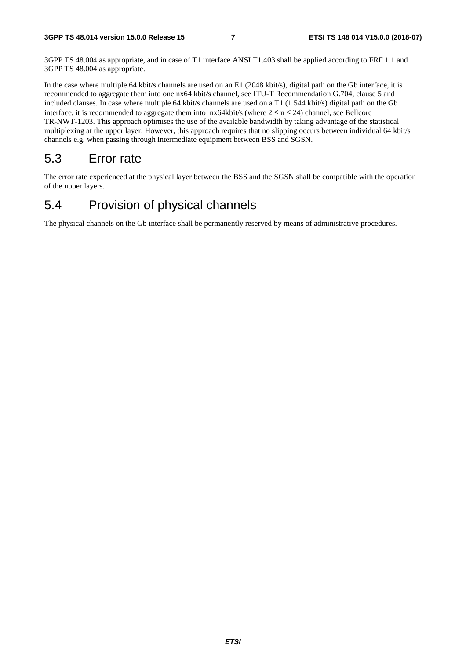3GPP TS 48.004 as appropriate, and in case of T1 interface ANSI T1.403 shall be applied according to FRF 1.1 and 3GPP TS 48.004 as appropriate.

In the case where multiple 64 kbit/s channels are used on an E1 (2048 kbit/s), digital path on the Gb interface, it is recommended to aggregate them into one nx64 kbit/s channel, see ITU-T Recommendation G.704, clause 5 and included clauses. In case where multiple 64 kbit/s channels are used on a T1 (1 544 kbit/s) digital path on the Gb interface, it is recommended to aggregate them into  $nx64kbit/s$  (where  $2 \le n \le 24$ ) channel, see Bellcore TR-NWT-1203. This approach optimises the use of the available bandwidth by taking advantage of the statistical multiplexing at the upper layer. However, this approach requires that no slipping occurs between individual 64 kbit/s channels e.g. when passing through intermediate equipment between BSS and SGSN.

#### 5.3 Error rate

The error rate experienced at the physical layer between the BSS and the SGSN shall be compatible with the operation of the upper layers.

#### 5.4 Provision of physical channels

The physical channels on the Gb interface shall be permanently reserved by means of administrative procedures.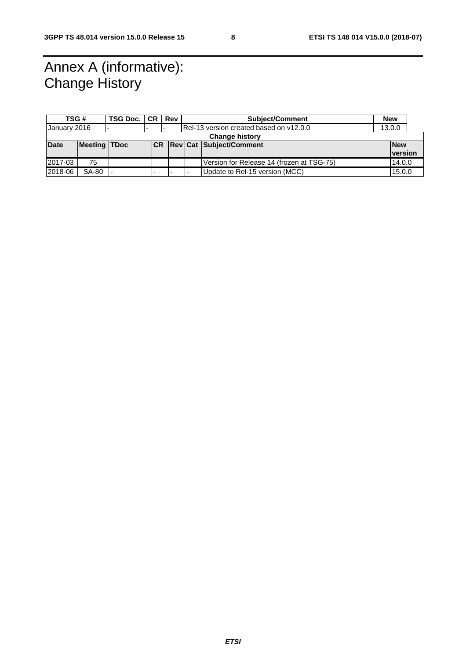# Annex A (informative): Change History

| TSG #                 |                     | TSG Doc.   CR |  | Rev |                                         | <b>Subject/Comment</b>                    | <b>New</b> |                |
|-----------------------|---------------------|---------------|--|-----|-----------------------------------------|-------------------------------------------|------------|----------------|
| January 2016          |                     |               |  |     | Rel-13 version created based on v12.0.0 |                                           | 13.0.0     |                |
| <b>Change history</b> |                     |               |  |     |                                         |                                           |            |                |
| <b>Date</b>           | <b>Meeting TDoc</b> |               |  |     |                                         | <b>CR Rev Cat Subject/Comment</b>         |            | <b>New</b>     |
|                       |                     |               |  |     |                                         |                                           |            | <b>version</b> |
| 2017-03               | 75                  |               |  |     |                                         | Version for Release 14 (frozen at TSG-75) |            | 14.0.0         |
| 2018-06               | <b>SA-80</b>        |               |  |     |                                         | Update to Rel-15 version (MCC)            |            | 15.0.0         |